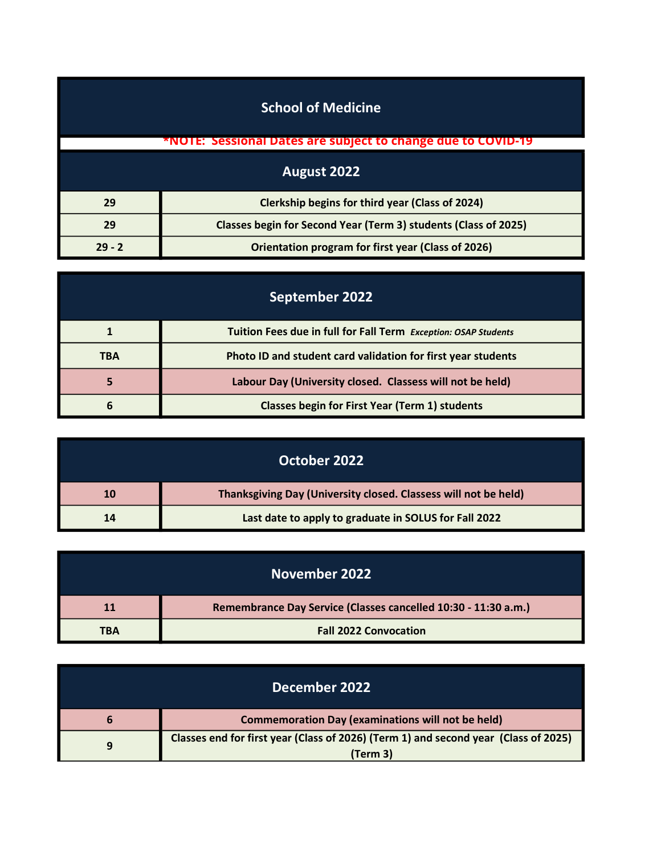| <b>School of Medicine</b>                                             |                                                                     |  |
|-----------------------------------------------------------------------|---------------------------------------------------------------------|--|
|                                                                       | <b>*NOTE: Sessional Dates are subject to change due to COVID-19</b> |  |
| August 2022                                                           |                                                                     |  |
| 29                                                                    | Clerkship begins for third year (Class of 2024)                     |  |
| Classes begin for Second Year (Term 3) students (Class of 2025)<br>29 |                                                                     |  |
| $29 - 2$                                                              | Orientation program for first year (Class of 2026)                  |  |

| September 2022 |                                                                 |  |
|----------------|-----------------------------------------------------------------|--|
|                | Tuition Fees due in full for Fall Term Exception: OSAP Students |  |
| <b>TBA</b>     | Photo ID and student card validation for first year students    |  |
|                | Labour Day (University closed. Classess will not be held)       |  |
| ь              | <b>Classes begin for First Year (Term 1) students</b>           |  |

|    | October 2022                                                    |
|----|-----------------------------------------------------------------|
| 10 | Thanksgiving Day (University closed. Classess will not be held) |
| 14 | Last date to apply to graduate in SOLUS for Fall 2022           |

| November 2022 |                                                                |
|---------------|----------------------------------------------------------------|
| <b>11</b>     | Remembrance Day Service (Classes cancelled 10:30 - 11:30 a.m.) |
| <b>TBA</b>    | <b>Fall 2022 Convocation</b>                                   |

| December 2022 |                                                                                     |
|---------------|-------------------------------------------------------------------------------------|
|               | <b>Commemoration Day (examinations will not be held)</b>                            |
| q             | Classes end for first year (Class of 2026) (Term 1) and second year (Class of 2025) |
|               | (Term 3)                                                                            |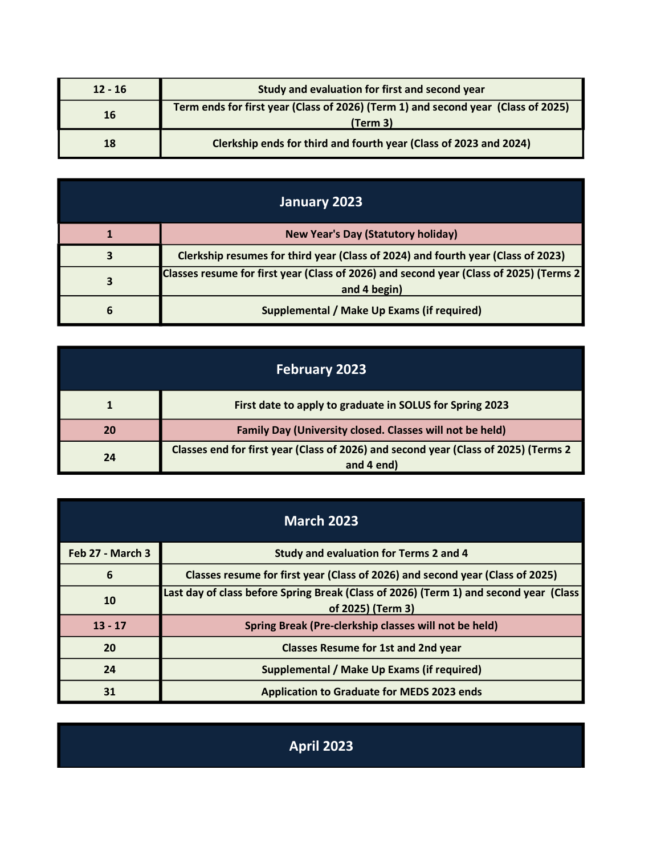| $12 - 16$ | Study and evaluation for first and second year                                                |  |
|-----------|-----------------------------------------------------------------------------------------------|--|
| 16        | Term ends for first year (Class of 2026) (Term 1) and second year (Class of 2025)<br>(Term 3) |  |
| 18        | Clerkship ends for third and fourth year (Class of 2023 and 2024)                             |  |

| January 2023 |                                                                                                         |
|--------------|---------------------------------------------------------------------------------------------------------|
|              | <b>New Year's Day (Statutory holiday)</b>                                                               |
|              | Clerkship resumes for third year (Class of 2024) and fourth year (Class of 2023)                        |
| 3            | Classes resume for first year (Class of 2026) and second year (Class of 2025) (Terms 2)<br>and 4 begin) |
| 6            | Supplemental / Make Up Exams (if required)                                                              |

| <b>February 2023</b> |                                                                                                   |  |
|----------------------|---------------------------------------------------------------------------------------------------|--|
|                      | First date to apply to graduate in SOLUS for Spring 2023                                          |  |
| 20                   | Family Day (University closed. Classes will not be held)                                          |  |
| 24                   | Classes end for first year (Class of 2026) and second year (Class of 2025) (Terms 2<br>and 4 end) |  |

| <b>March 2023</b> |                                                                                                            |  |
|-------------------|------------------------------------------------------------------------------------------------------------|--|
| Feb 27 - March 3  | Study and evaluation for Terms 2 and 4                                                                     |  |
| 6                 | Classes resume for first year (Class of 2026) and second year (Class of 2025)                              |  |
| 10                | Last day of class before Spring Break (Class of 2026) (Term 1) and second year (Class<br>of 2025) (Term 3) |  |
| $13 - 17$         | Spring Break (Pre-clerkship classes will not be held)                                                      |  |
| 20                | <b>Classes Resume for 1st and 2nd year</b>                                                                 |  |
| 24                | Supplemental / Make Up Exams (if required)                                                                 |  |
| 31                | <b>Application to Graduate for MEDS 2023 ends</b>                                                          |  |

April 2023